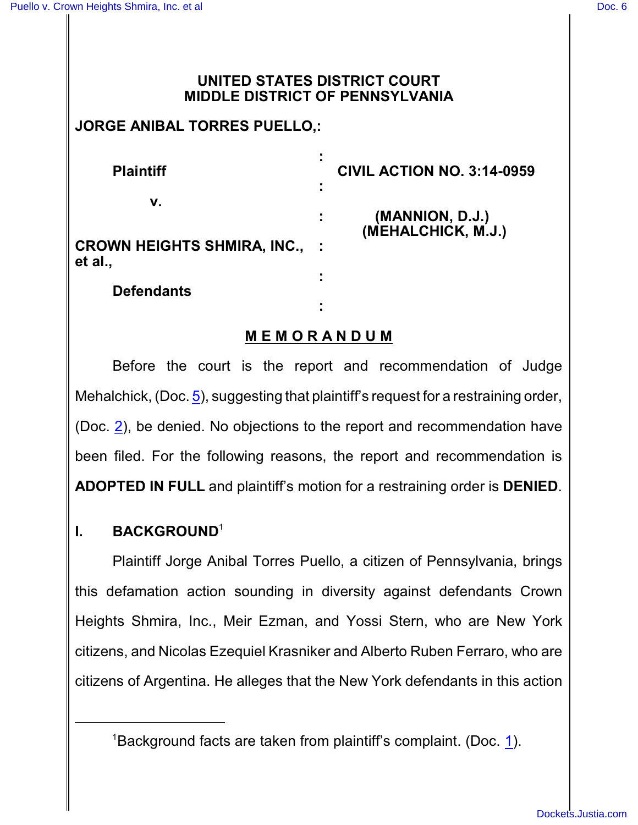**et** 

## **UNITED STATES DISTRICT COURT MIDDLE DISTRICT OF PENNSYLVANIA**

# **JORGE ANIBAL TORRES PUELLO,:**

| <b>Plaintiff</b>                              | ٠<br>٠<br><b>CIVIL ACTION NO. 3:14-0959</b><br>٠ |
|-----------------------------------------------|--------------------------------------------------|
| ν.                                            | (MANNION, D.J.)                                  |
| <b>CROWN HEIGHTS SHMIRA, INC.,</b><br>et al., | (MEHALCHICK, M.J.)                               |
| <b>Defendants</b>                             | ٠                                                |
|                                               | $\blacksquare$                                   |

## **M E M O R A N D U M**

Before the court is the report and recommendation of Judge Mehalchick, (Doc. [5](http://ecf.pamd.uscourts.gov/doc1/15504662838)), suggesting that plaintiff's request for a restraining order, (Doc. [2](http://ecf.pamd.uscourts.gov/doc1/15504645770)), be denied. No objections to the report and recommendation have been filed. For the following reasons, the report and recommendation is **ADOPTED IN FULL** and plaintiff's motion for a restraining order is **DENIED**.

## **I. BACKGROUND**<sup>1</sup>

Plaintiff Jorge Anibal Torres Puello, a citizen of Pennsylvania, brings this defamation action sounding in diversity against defendants Crown Heights Shmira, Inc., Meir Ezman, and Yossi Stern, who are New York citizens, and Nicolas Ezequiel Krasniker and Alberto Ruben Ferraro, who are citizens of Argentina. He alleges that the New York defendants in this action

<sup>&</sup>lt;sup>[1](http://ecf.pamd.uscourts.gov/doc1/15504645759)</sup>Background facts are taken from plaintiff's complaint. (Doc. 1).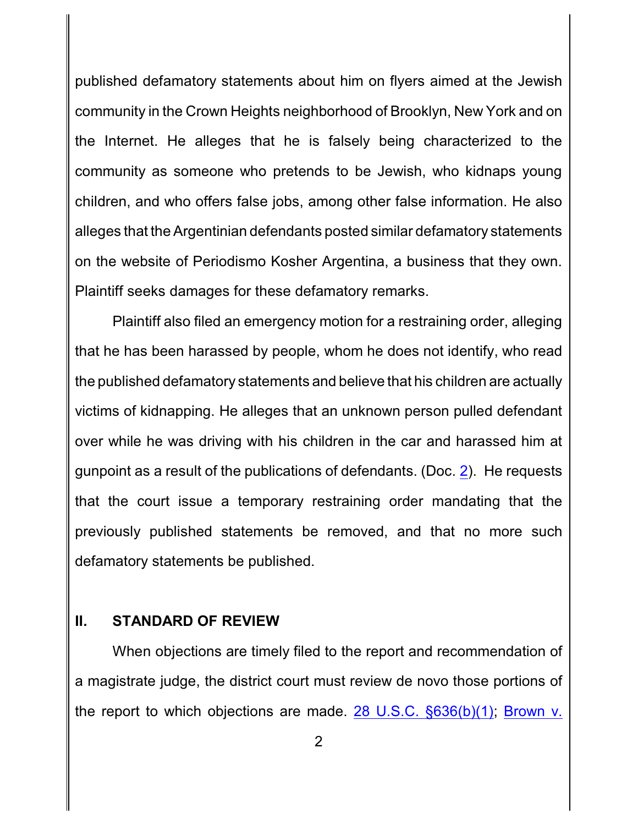published defamatory statements about him on flyers aimed at the Jewish community in the Crown Heights neighborhood of Brooklyn, New York and on the Internet. He alleges that he is falsely being characterized to the community as someone who pretends to be Jewish, who kidnaps young children, and who offers false jobs, among other false information. He also alleges that the Argentinian defendants posted similar defamatory statements on the website of Periodismo Kosher Argentina, a business that they own. Plaintiff seeks damages for these defamatory remarks.

Plaintiff also filed an emergency motion for a restraining order, alleging that he has been harassed by people, whom he does not identify, who read the published defamatory statements and believe that his children are actually victims of kidnapping. He alleges that an unknown person pulled defendant over while he was driving with his children in the car and harassed him at gunpoint as a result of the publications of defendants. (Doc. [2](http://ecf.pamd.uscourts.gov/doc1/15504645770)). He requests that the court issue a temporary restraining order mandating that the previously published statements be removed, and that no more such defamatory statements be published.

#### **II. STANDARD OF REVIEW**

When objections are timely filed to the report and recommendation of a magistrate judge, the district court must review de novo those portions of the report to which objections are made. [28 U.S.C. §636\(b\)\(1\)](http://westlaw.com/find/default.wl?ft=L&docname=28USCAS636&rs=btil2.0&rp=%2ffind%2fdefault.wl&fn=_top&findtype=L&vr=2.0&db=1000546&wbtoolsId=28USCAS636&HistoryType=F); [Brown v.](http://westlaw.com/find/default.wl?ft=Y&referencepositiontype=S&rs=btil2.0&rp=%2ffind%2fdefault.wl&serialnum=2025614680&fn=_top&referenceposition=195&findtype=Y&vr=2.0&db=0000506&wbtoolsId=2025614680&HistoryType=F)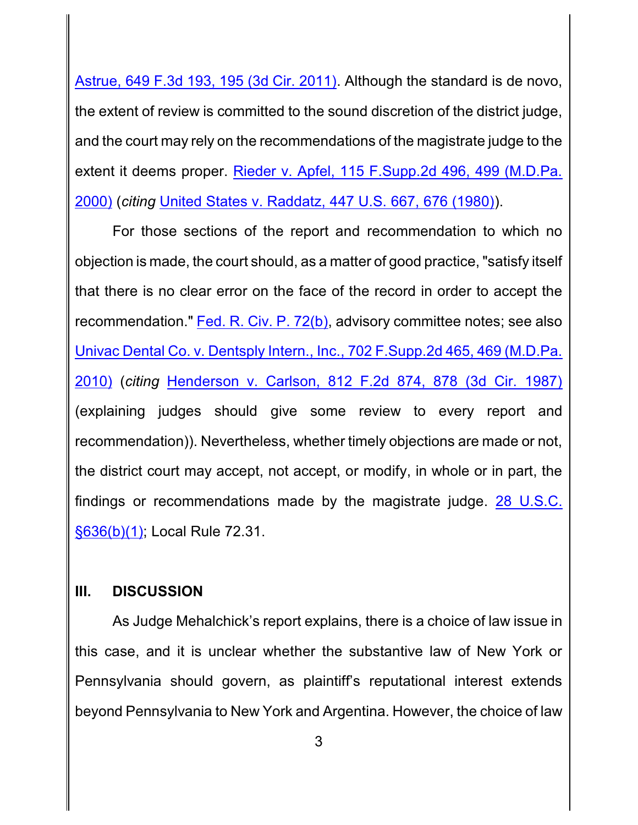Astrue, 649 F.3d 193, 195 (3d Cir. 2011). Although the standard is de novo, the extent of review is committed to the sound discretion of the district judge, and the court may rely on the recommendations of the magistrate judge to the extent it deems proper. Rieder v. Apfel, [115 F.Supp.2d 496,](http://westlaw.com/find/default.wl?ft=Y&referencepositiontype=S&rs=btil2.0&rp=%2ffind%2fdefault.wl&serialnum=2000561939&fn=_top&referenceposition=499&findtype=Y&vr=2.0&db=0004637&wbtoolsId=2000561939&HistoryType=F) 499 (M.D.Pa. [2000\)](http://westlaw.com/find/default.wl?ft=Y&referencepositiontype=S&rs=btil2.0&rp=%2ffind%2fdefault.wl&serialnum=2000561939&fn=_top&referenceposition=499&findtype=Y&vr=2.0&db=0004637&wbtoolsId=2000561939&HistoryType=F) (*citing* [United States v. Raddatz, 447 U.S. 667, 676 \(1980\)](http://westlaw.com/find/default.wl?ft=Y&referencepositiontype=S&rs=btil2.0&rp=%2ffind%2fdefault.wl&serialnum=1980116789&fn=_top&referenceposition=676&findtype=Y&vr=2.0&db=0000780&wbtoolsId=1980116789&HistoryType=F)).

For those sections of the report and recommendation to which no objection is made, the court should, as a matter of good practice, "satisfy itself that there is no clear error on the face of the record in order to accept the recommendation." Fed. [R. Civ. P.](http://westlaw.com/find/default.wl?ft=L&docname=USFRCPR72&rs=btil2.0&rp=%2ffind%2fdefault.wl&fn=_top&findtype=L&vr=2.0&db=1000600&wbtoolsId=USFRCPR72&HistoryType=F) 72(b), advisory committee notes; see also Univac Dental Co. v. Dentsply [Intern., Inc., 702 F.Supp.2d 465,](http://westlaw.com/find/default.wl?ft=Y&referencepositiontype=S&rs=btil2.0&rp=%2ffind%2fdefault.wl&serialnum=2021676896&fn=_top&referenceposition=469&findtype=Y&vr=2.0&db=0004637&wbtoolsId=2021676896&HistoryType=F) 469 (M.D.Pa. [2010\)](http://westlaw.com/find/default.wl?ft=Y&referencepositiontype=S&rs=btil2.0&rp=%2ffind%2fdefault.wl&serialnum=2021676896&fn=_top&referenceposition=469&findtype=Y&vr=2.0&db=0004637&wbtoolsId=2021676896&HistoryType=F) (*citing* [Henderson v. Carlson,](http://westlaw.com/find/default.wl?ft=Y&referencepositiontype=S&rs=btil2.0&rp=%2ffind%2fdefault.wl&serialnum=1987025807&fn=_top&referenceposition=878&findtype=Y&vr=2.0&db=0000350&wbtoolsId=1987025807&HistoryType=F) 812 F.2d 874, 878 (3d Cir. 1987) (explaining judges should give some review to every report and recommendation)). Nevertheless, whether timely objections are made or not, the district court may accept, not accept, or modify, in whole or in part, the findings or recommendations made by the magistrate judge. [28 U.S.C.](http://westlaw.com/find/default.wl?ft=L&docname=28USCAS636&rs=btil2.0&rp=%2ffind%2fdefault.wl&fn=_top&findtype=L&vr=2.0&db=1000546&wbtoolsId=28USCAS636&HistoryType=F) [§636\(b\)\(1\)](http://westlaw.com/find/default.wl?ft=L&docname=28USCAS636&rs=btil2.0&rp=%2ffind%2fdefault.wl&fn=_top&findtype=L&vr=2.0&db=1000546&wbtoolsId=28USCAS636&HistoryType=F); Local Rule 72.31.

#### **III. DISCUSSION**

As Judge Mehalchick's report explains, there is a choice of law issue in this case, and it is unclear whether the substantive law of New York or Pennsylvania should govern, as plaintiff's reputational interest extends beyond Pennsylvania to New York and Argentina. However, the choice of law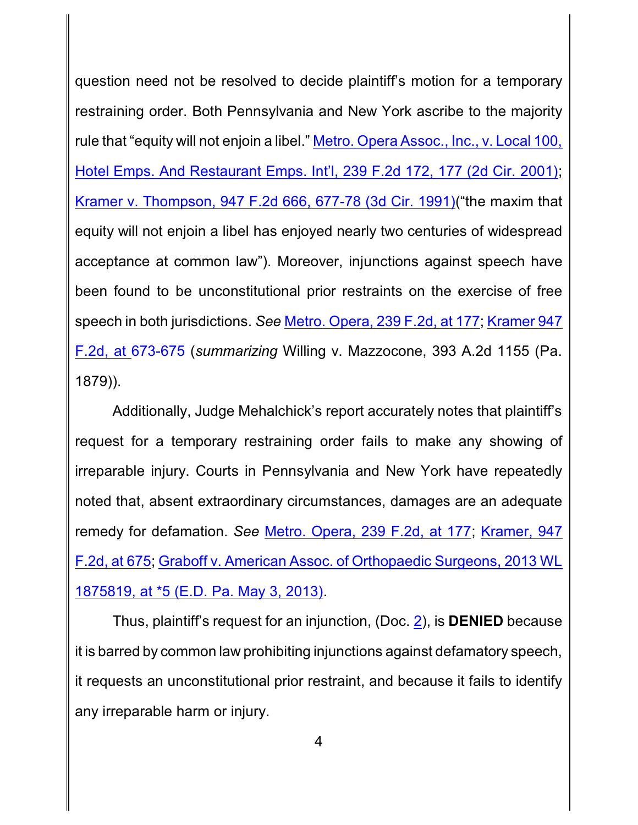question need not be resolved to decide plaintiff's motion for a temporary restraining order. Both Pennsylvania and New York ascribe to the majority rule that "equity will not enjoin a libel." Metro. [Opera Assoc., Inc., v. Local 100,](http://westlaw.com/find/default.wl?referencepositiontype=S&ft=L&docname=239FE2D172&rs=btil2.0&rp=%2ffind%2fdefault.wl&fn=_top&referenceposition=177&findtype=L&vr=2.0&db=0000350&wbtoolsId=239FE2D172&HistoryType=F) [Hotel Emps. And Restaurant Emps. Int'l, 239 F.2d](http://westlaw.com/find/default.wl?referencepositiontype=S&ft=L&docname=239FE2D172&rs=btil2.0&rp=%2ffind%2fdefault.wl&fn=_top&referenceposition=177&findtype=L&vr=2.0&db=0000350&wbtoolsId=239FE2D172&HistoryType=F) 172, 177 (2d Cir. 2001); [Kramer v. Thompson,](http://westlaw.com/find/default.wl?ft=Y&referencepositiontype=S&rs=btil2.0&rp=%2ffind%2fdefault.wl&serialnum=1991170589&fn=_top&referenceposition=677&findtype=Y&vr=2.0&db=0000350&wbtoolsId=1991170589&HistoryType=F) 947 F.2d 666, 677-78 (3d Cir. 1991)("the maxim that equity will not enjoin a libel has enjoyed nearly two centuries of widespread acceptance at common law"). Moreover, injunctions against speech have been found to be unconstitutional prior restraints on the exercise of free speech in both jurisdictions. *See* Metro. Opera, [239 F.2d, at](http://westlaw.com/find/default.wl?referencepositiontype=S&ft=L&docname=239FE2D172&rs=btil2.0&rp=%2ffind%2fdefault.wl&fn=_top&referenceposition=177&findtype=L&vr=2.0&db=0000350&wbtoolsId=239FE2D172&HistoryType=F) 177; [Kramer 947](http://westlaw.com/find/default.wl?ft=Y&referencepositiontype=S&rs=btil2.0&rp=%2ffind%2fdefault.wl&serialnum=1991170589&fn=_top&referenceposition=677&findtype=Y&vr=2.0&db=0000350&wbtoolsId=1991170589&HistoryType=F) F.2d, at 673-675 (*summarizing* Willing v. Mazzocone, [393 A.2d 1155](http://westlaw.com/find/default.wl?ft=Y&referencepositiontype=S&rs=btil2.0&rp=%2ffind%2fdefault.wl&serialnum=1991170589&fn=_top&referenceposition=677&findtype=Y&vr=2.0&db=0000350&wbtoolsId=1991170589&HistoryType=F) (Pa. [1879\)\)](http://westlaw.com/find/default.wl?ft=Y&referencepositiontype=S&rs=btil2.0&rp=%2ffind%2fdefault.wl&serialnum=1991170589&fn=_top&referenceposition=677&findtype=Y&vr=2.0&db=0000350&wbtoolsId=1991170589&HistoryType=F).

Additionally, Judge Mehalchick's report accurately notes that plaintiff's request for a temporary restraining order fails to make any showing of irreparable injury. Courts in Pennsylvania and New York have repeatedly noted that, absent extraordinary circumstances, damages are an adequate remedy for defamation. *See* Metro. Opera, [239 F.2d, at](http://westlaw.com/find/default.wl?referencepositiontype=S&ft=L&docname=239FE2D172&rs=btil2.0&rp=%2ffind%2fdefault.wl&fn=_top&referenceposition=177&findtype=L&vr=2.0&db=0000350&wbtoolsId=239FE2D172&HistoryType=F) 177; [Kramer, 947](http://westlaw.com/find/default.wl?ft=Y&referencepositiontype=S&rs=btil2.0&rp=%2ffind%2fdefault.wl&serialnum=1991170589&fn=_top&referenceposition=677&findtype=Y&vr=2.0&db=0000350&wbtoolsId=1991170589&HistoryType=F) [F.2d, at](http://westlaw.com/find/default.wl?ft=Y&referencepositiontype=S&rs=btil2.0&rp=%2ffind%2fdefault.wl&serialnum=1991170589&fn=_top&referenceposition=677&findtype=Y&vr=2.0&db=0000350&wbtoolsId=1991170589&HistoryType=F) 675; [Graboff v. American Assoc.](http://westlaw.com/find/default.wl?ft=Y&referencepositiontype=S&rs=btil2.0&rp=%2ffind%2fdefault.wl&serialnum=2030483885&fn=_top&referenceposition=5&findtype=Y&vr=2.0&db=0000999&wbtoolsId=2030483885&HistoryType=F) of Orthopaedic Surgeons, 2013 WL [1875819, at \\*5 \(E.D. Pa. May 3, 2013\)](http://westlaw.com/find/default.wl?ft=Y&referencepositiontype=S&rs=btil2.0&rp=%2ffind%2fdefault.wl&serialnum=2030483885&fn=_top&referenceposition=5&findtype=Y&vr=2.0&db=0000999&wbtoolsId=2030483885&HistoryType=F).

Thus, plaintiff's request for an injunction, (Doc. [2](http://ecf.pamd.uscourts.gov/doc1/15504645770)), is **DENIED** because it is barred by common law prohibiting injunctions against defamatory speech, it requests an unconstitutional prior restraint, and because it fails to identify any irreparable harm or injury.